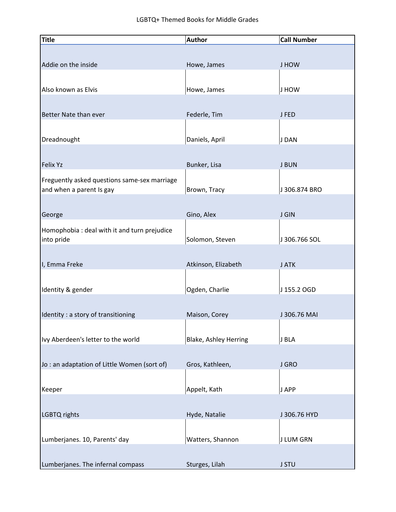| <b>Title</b>                                                             | <b>Author</b>                | <b>Call Number</b> |
|--------------------------------------------------------------------------|------------------------------|--------------------|
|                                                                          |                              |                    |
| Addie on the inside                                                      | Howe, James                  | J HOW              |
|                                                                          |                              |                    |
| Also known as Elvis                                                      | Howe, James                  | J HOW              |
|                                                                          |                              |                    |
| Better Nate than ever                                                    | Federle, Tim                 | J FED              |
|                                                                          |                              |                    |
| Dreadnought                                                              | Daniels, April               | J DAN              |
|                                                                          |                              |                    |
| <b>Felix Yz</b>                                                          | Bunker, Lisa                 | <b>J BUN</b>       |
|                                                                          |                              |                    |
| Freguently asked questions same-sex marriage<br>and when a parent Is gay | Brown, Tracy                 | J 306.874 BRO      |
|                                                                          |                              |                    |
| George                                                                   | Gino, Alex                   | <b>J GIN</b>       |
|                                                                          |                              |                    |
| Homophobia : deal with it and turn prejudice<br>into pride               | Solomon, Steven              | J 306.766 SOL      |
|                                                                          |                              |                    |
| I, Emma Freke                                                            | Atkinson, Elizabeth          | J ATK              |
|                                                                          |                              |                    |
| Identity & gender                                                        | Ogden, Charlie               | J 155.2 OGD        |
|                                                                          |                              |                    |
| Identity : a story of transitioning                                      | Maison, Corey                | J 306.76 MAI       |
|                                                                          |                              |                    |
| Ivy Aberdeen's letter to the world                                       | <b>Blake, Ashley Herring</b> | J BLA              |
|                                                                          |                              |                    |
| Jo: an adaptation of Little Women (sort of)                              | Gros, Kathleen,              | J GRO              |
|                                                                          |                              |                    |
| Keeper                                                                   | Appelt, Kath                 | J APP              |
|                                                                          |                              |                    |
| LGBTQ rights                                                             | Hyde, Natalie                | J 306.76 HYD       |
|                                                                          |                              |                    |
| Lumberjanes. 10, Parents' day                                            | Watters, Shannon             | <b>J LUM GRN</b>   |
|                                                                          |                              |                    |
| Lumberjanes. The infernal compass                                        | Sturges, Lilah               | <b>J STU</b>       |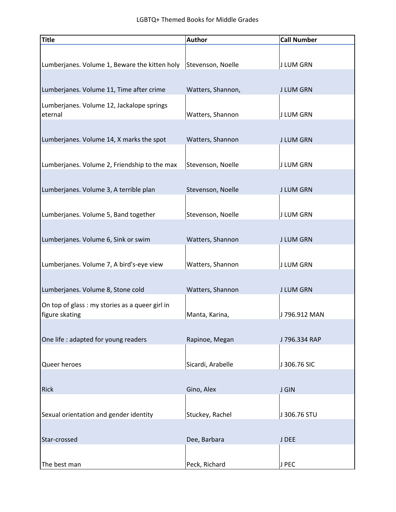| <b>Title</b>                                                      | <b>Author</b>     | <b>Call Number</b> |
|-------------------------------------------------------------------|-------------------|--------------------|
|                                                                   |                   |                    |
| Lumberjanes. Volume 1, Beware the kitten holy                     | Stevenson, Noelle | J LUM GRN          |
|                                                                   |                   |                    |
| Lumberjanes. Volume 11, Time after crime                          | Watters, Shannon, | <b>J LUM GRN</b>   |
| Lumberjanes. Volume 12, Jackalope springs                         |                   |                    |
| eternal                                                           | Watters, Shannon  | J LUM GRN          |
|                                                                   |                   |                    |
| Lumberjanes. Volume 14, X marks the spot                          | Watters, Shannon  | <b>J LUM GRN</b>   |
|                                                                   |                   |                    |
| Lumberjanes. Volume 2, Friendship to the max                      | Stevenson, Noelle | <b>J LUM GRN</b>   |
|                                                                   |                   |                    |
| Lumberjanes. Volume 3, A terrible plan                            | Stevenson, Noelle | <b>J LUM GRN</b>   |
|                                                                   |                   |                    |
| Lumberjanes. Volume 5, Band together                              | Stevenson, Noelle | J LUM GRN          |
|                                                                   |                   |                    |
| Lumberjanes. Volume 6, Sink or swim                               | Watters, Shannon  | <b>J LUM GRN</b>   |
|                                                                   |                   |                    |
| Lumberjanes. Volume 7, A bird's-eye view                          | Watters, Shannon  | J LUM GRN          |
| Lumberjanes. Volume 8, Stone cold                                 | Watters, Shannon  | <b>J LUM GRN</b>   |
|                                                                   |                   |                    |
| On top of glass : my stories as a queer girl in<br>figure skating | Manta, Karina,    | J 796.912 MAN      |
|                                                                   |                   |                    |
| One life : adapted for young readers                              | Rapinoe, Megan    | J 796.334 RAP      |
|                                                                   |                   |                    |
| Queer heroes                                                      | Sicardi, Arabelle | J 306.76 SIC       |
|                                                                   |                   |                    |
| <b>Rick</b>                                                       | Gino, Alex        | <b>J GIN</b>       |
|                                                                   |                   |                    |
| Sexual orientation and gender identity                            | Stuckey, Rachel   | J 306.76 STU       |
|                                                                   |                   |                    |
| Star-crossed                                                      | Dee, Barbara      | J DEE              |
|                                                                   |                   |                    |
| The best man                                                      | Peck, Richard     | J PEC              |